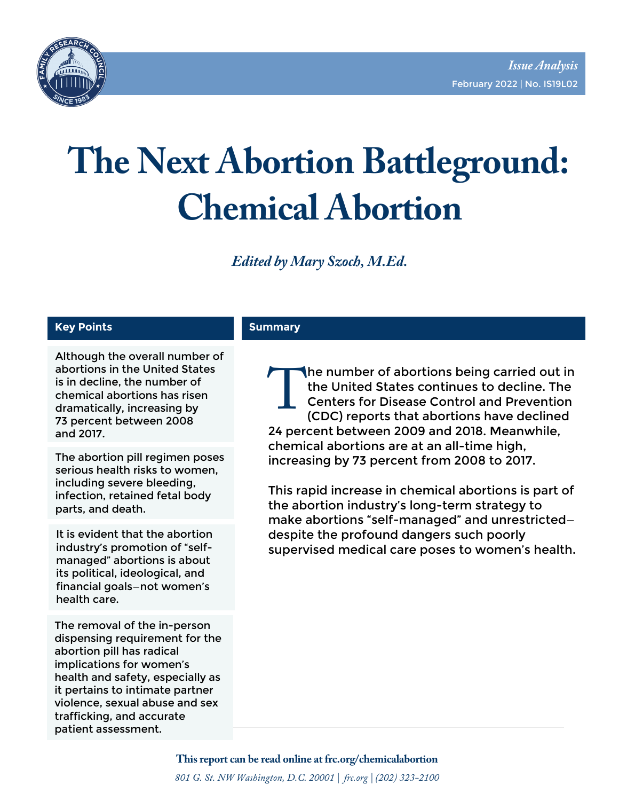

# **The Next Abortion Battleground: Chemical Abortion**

*Edited by Mary Szoch, M.Ed.* 

#### **Key Points**

Although the overall number of abortions in the United States is in decline, the number of chemical abortions has risen dramatically, increasing by 73 percent between 2008 and 2017.

The abortion pill regimen poses serious health risks to women, including severe bleeding, infection, retained fetal body parts, and death.

It is evident that the abortion industry's promotion of "selfmanaged" abortions is about its political, ideological, and financial goals—not women's health care.

The removal of the in-person dispensing requirement for the abortion pill has radical implications for women's health and safety, especially as it pertains to intimate partner violence, sexual abuse and sex trafficking, and accurate patient assessment.

#### **Summary**

he number of abortions being carried out in the United States continues to decline. The Centers for Disease Control and Prevention (CDC) reports that abortions have declined the United States continues to decline. The Centers for Disease Control and Preventio (CDC) reports that abortions have declined 24 percent between 2009 and 2018. Meanwhile, chemical abortions are at an all-time high, increasing by 73 percent from 2008 to 2017.

This rapid increase in chemical abortions is part of the abortion industry's long-term strategy to make abortions "self-managed" and unrestricted despite the profound dangers such poorly supervised medical care poses to women's health.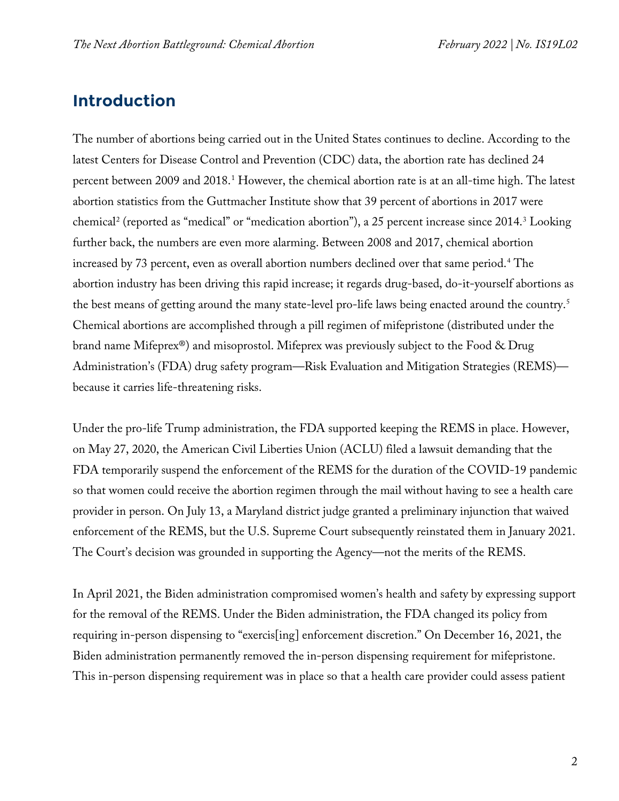# **Introduction**

The number of abortions being carried out in the United States continues to decline. According to the latest Centers for Disease Control and Prevention (CDC) data, the abortion rate has declined 24 percent between 2009 and 20[1](#page-19-0)8.<sup>1</sup> However, the chemical abortion rate is at an all-time high. The latest abortion statistics from the Guttmacher Institute show that 39 percent of abortions in 2017 were chemical<sup>[2](#page-19-1)</sup> (reported as "medical" or "medication abortion"), a 25 percent increase since 2014.<sup>3</sup> Looking further back, the numbers are even more alarming. Between 2008 and 2017, chemical abortion increased by 73 percent, even as overall abortion numbers declined over that same period.<sup>[4](#page-20-1)</sup> The abortion industry has been driving this rapid increase; it regards drug-based, do-it-yourself abortions as the best means of getting around the many state-level pro-life laws being enacted around the country.[5](#page-20-2) Chemical abortions are accomplished through a pill regimen of mifepristone (distributed under the brand name Mifeprex®) and misoprostol. Mifeprex was previously subject to the Food & Drug Administration's (FDA) drug safety program—Risk Evaluation and Mitigation Strategies (REMS) because it carries life-threatening risks.

Under the pro-life Trump administration, the FDA supported keeping the REMS in place. However, on May 27, 2020, the American Civil Liberties Union (ACLU) filed a lawsuit demanding that the FDA temporarily suspend the enforcement of the REMS for the duration of the COVID-19 pandemic so that women could receive the abortion regimen through the mail without having to see a health care provider in person. On July 13, a Maryland district judge granted a preliminary injunction that waived enforcement of the REMS, but the U.S. Supreme Court subsequently reinstated them in January 2021. The Court's decision was grounded in supporting the Agency—not the merits of the REMS.

In April 2021, the Biden administration compromised women's health and safety by expressing support for the removal of the REMS. Under the Biden administration, the FDA changed its policy from requiring in-person dispensing to "exercis[ing] enforcement discretion." On December 16, 2021, the Biden administration permanently removed the in-person dispensing requirement for mifepristone. This in-person dispensing requirement was in place so that a health care provider could assess patient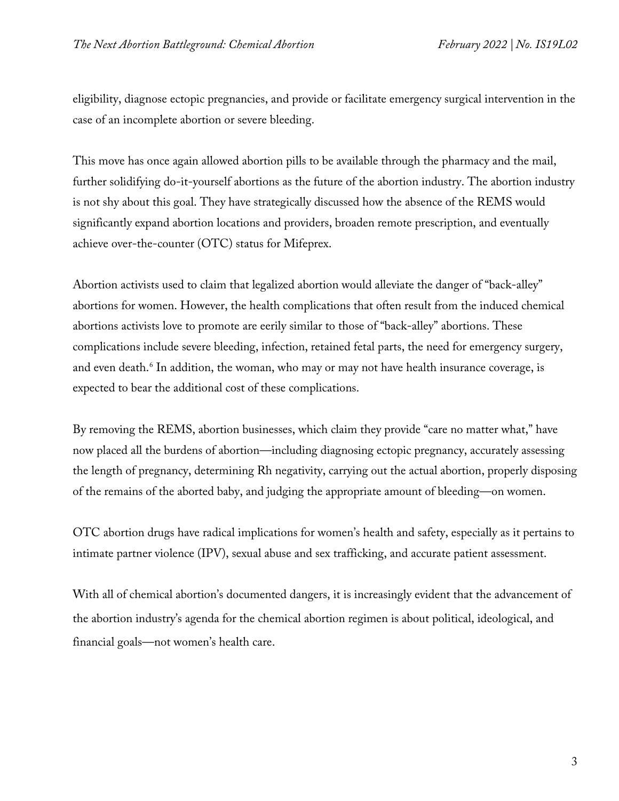eligibility, diagnose ectopic pregnancies, and provide or facilitate emergency surgical intervention in the case of an incomplete abortion or severe bleeding.

This move has once again allowed abortion pills to be available through the pharmacy and the mail, further solidifying do-it-yourself abortions as the future of the abortion industry. The abortion industry is not shy about this goal. They have strategically discussed how the absence of the REMS would significantly expand abortion locations and providers, broaden remote prescription, and eventually achieve over-the-counter (OTC) status for Mifeprex.

Abortion activists used to claim that legalized abortion would alleviate the danger of "back-alley" abortions for women. However, the health complications that often result from the induced chemical abortions activists love to promote are eerily similar to those of "back-alley" abortions. These complications include severe bleeding, infection, retained fetal parts, the need for emergency surgery, and even death.<sup>[6](#page-20-3)</sup> In addition, the woman, who may or may not have health insurance coverage, is expected to bear the additional cost of these complications.

By removing the REMS, abortion businesses, which claim they provide "care no matter what," have now placed all the burdens of abortion—including diagnosing ectopic pregnancy, accurately assessing the length of pregnancy, determining Rh negativity, carrying out the actual abortion, properly disposing of the remains of the aborted baby, and judging the appropriate amount of bleeding—on women.

OTC abortion drugs have radical implications for women's health and safety, especially as it pertains to intimate partner violence (IPV), sexual abuse and sex trafficking, and accurate patient assessment.

With all of chemical abortion's documented dangers, it is increasingly evident that the advancement of the abortion industry's agenda for the chemical abortion regimen is about political, ideological, and financial goals—not women's health care.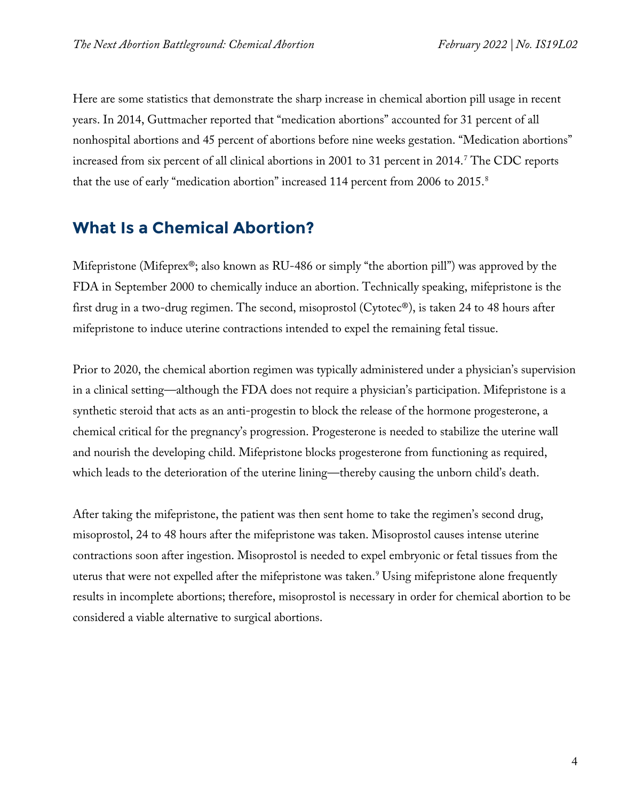Here are some statistics that demonstrate the sharp increase in chemical abortion pill usage in recent years. In 2014, Guttmacher reported that "medication abortions" accounted for 31 percent of all nonhospital abortions and 45 percent of abortions before nine weeks gestation. "Medication abortions" increased from six percent of all clinical abortions in 2001 to 31 percent in 2014.[7](#page-20-4) The CDC reports that the use of early "medication abortion" increased 114 percent from 2006 to 2015. [8](#page-20-5)

# **What Is a Chemical Abortion?**

Mifepristone (Mifeprex®; also known as RU-486 or simply "the abortion pill") was approved by the FDA in September 2000 to chemically induce an abortion. Technically speaking, mifepristone is the first drug in a two-drug regimen. The second, misoprostol (Cytotec®), is taken 24 to 48 hours after mifepristone to induce uterine contractions intended to expel the remaining fetal tissue.

Prior to 2020, the chemical abortion regimen was typically administered under a physician's supervision in a clinical setting—although the FDA does not require a physician's participation. Mifepristone is a synthetic steroid that acts as an anti-progestin to block the release of the hormone progesterone, a chemical critical for the pregnancy's progression. Progesterone is needed to stabilize the uterine wall and nourish the developing child. Mifepristone blocks progesterone from functioning as required, which leads to the deterioration of the uterine lining—thereby causing the unborn child's death.

After taking the mifepristone, the patient was then sent home to take the regimen's second drug, misoprostol, 24 to 48 hours after the mifepristone was taken. Misoprostol causes intense uterine contractions soon after ingestion. Misoprostol is needed to expel embryonic or fetal tissues from the uterus that were not expelled after the mifepristone was taken.<sup>[9](#page-20-6)</sup> Using mifepristone alone frequently results in incomplete abortions; therefore, misoprostol is necessary in order for chemical abortion to be considered a viable alternative to surgical abortions.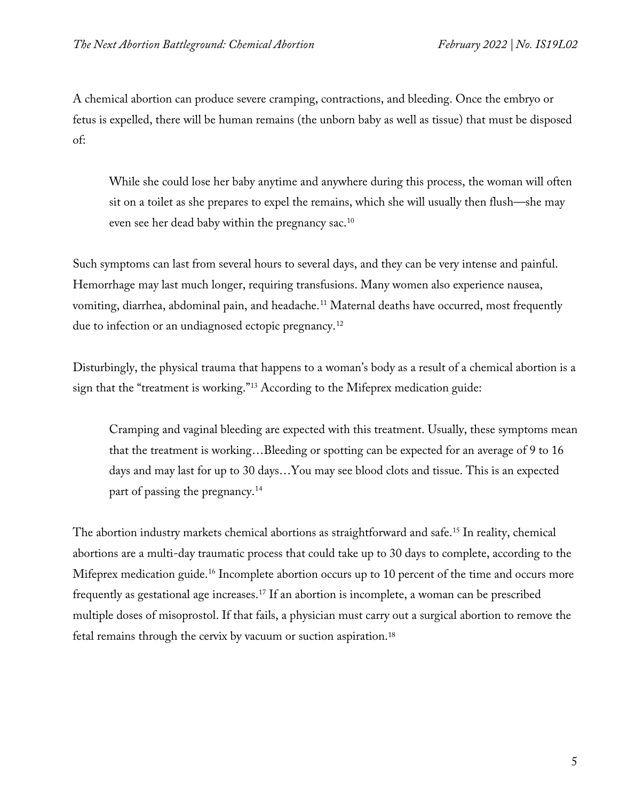A chemical abortion can produce severe cramping, contractions, and bleeding. Once the embryo or fetus is expelled, there will be human remains (the unborn baby as well as tissue) that must be disposed of:

While she could lose her baby anytime and anywhere during this process, the woman will often sit on a toilet as she prepares to expel the remains, which she will usually then flush—she may even see her dead baby within the pregnancy sac.<sup>10</sup>

Such symptoms can last from several hours to several days, and they can be very intense and painful. Hemorrhage may last much longer, requiring transfusions. Many women also experience nausea, vomiting, diarrhea, abdominal pain, and headache.<sup>[11](#page-20-8)</sup> Maternal deaths have occurred, most frequently due to infection or an undiagnosed ectopic pregnancy.<sup>[12](#page-20-9)</sup>

Disturbingly, the physical trauma that happens to a woman's body as a result of a chemical abortion is a sign that the "treatment is working."[13](#page-20-10) According to the Mifeprex medication guide:

Cramping and vaginal bleeding are expected with this treatment. Usually, these symptoms mean that the treatment is working…Bleeding or spotting can be expected for an average of 9 to 16 days and may last for up to 30 days…You may see blood clots and tissue. This is an expected part of passing the pregnancy.<sup>14</sup>

The abortion industry markets chemical abortions as straightforward and safe.<sup>[15](#page-20-12)</sup> In reality, chemical abortions are a multi-day traumatic process that could take up to 30 days to complete, according to the Mifeprex medication guide.<sup>[16](#page-20-13)</sup> Incomplete abortion occurs up to 10 percent of the time and occurs more frequently as gestational age increases.[17](#page-20-14) If an abortion is incomplete, a woman can be prescribed multiple doses of misoprostol. If that fails, a physician must carry out a surgical abortion to remove the fetal remains through the cervix by vacuum or suction aspiration.[18](#page-20-15)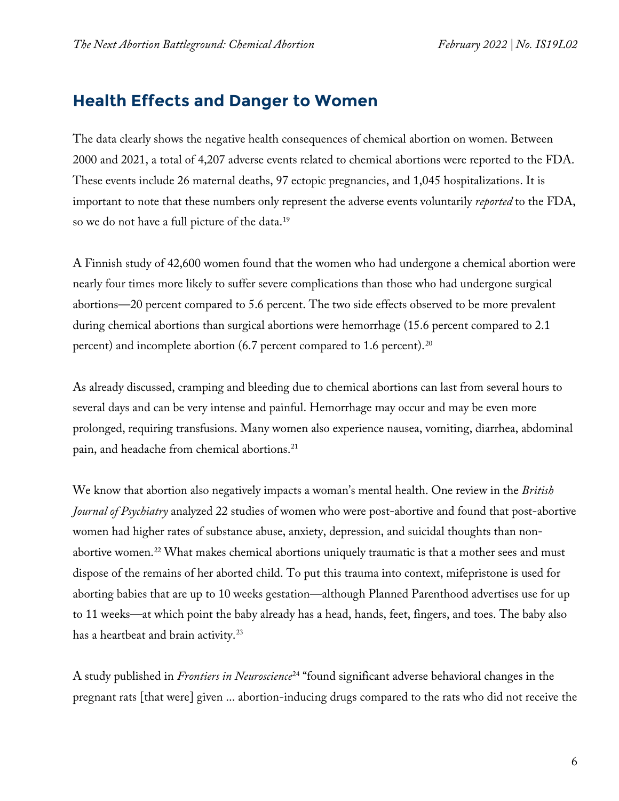# **Health Effects and Danger to Women**

The data clearly shows the negative health consequences of chemical abortion on women. Between 2000 and 2021, a total of 4,207 adverse events related to chemical abortions were reported to the FDA. These events include 26 maternal deaths, 97 ectopic pregnancies, and 1,045 hospitalizations. It is important to note that these numbers only represent the adverse events voluntarily *reported* to the FDA, so we do not have a full picture of the data.[19](#page-20-16)

A Finnish study of 42,600 women found that the women who had undergone a chemical abortion were nearly four times more likely to suffer severe complications than those who had undergone surgical abortions—20 percent compared to 5.6 percent. The two side effects observed to be more prevalent during chemical abortions than surgical abortions were hemorrhage (15.6 percent compared to 2.1 percent) and incomplete abortion (6.7 percent compared to 1.6 percent).<sup>[20](#page-21-0)</sup>

As already discussed, cramping and bleeding due to chemical abortions can last from several hours to several days and can be very intense and painful. Hemorrhage may occur and may be even more prolonged, requiring transfusions. Many women also experience nausea, vomiting, diarrhea, abdominal pain, and headache from chemical abortions.[21](#page-21-1)

We know that abortion also negatively impacts a woman's mental health. One review in the *British Journal of Psychiatry* analyzed 22 studies of women who were post-abortive and found that post-abortive women had higher rates of substance abuse, anxiety, depression, and suicidal thoughts than non-abortive women.<sup>[22](#page-21-2)</sup> What makes chemical abortions uniquely traumatic is that a mother sees and must dispose of the remains of her aborted child. To put this trauma into context, mifepristone is used for aborting babies that are up to 10 weeks gestation—although Planned Parenthood advertises use for up to 11 weeks—at which point the baby already has a head, hands, feet, fingers, and toes. The baby also has a heartbeat and brain activity.<sup>[23](#page-21-3)</sup>

A study published in *Frontiers in Neuroscience*[24](#page-21-4) "found significant adverse behavioral changes in the pregnant rats [that were] given ... abortion-inducing drugs compared to the rats who did not receive the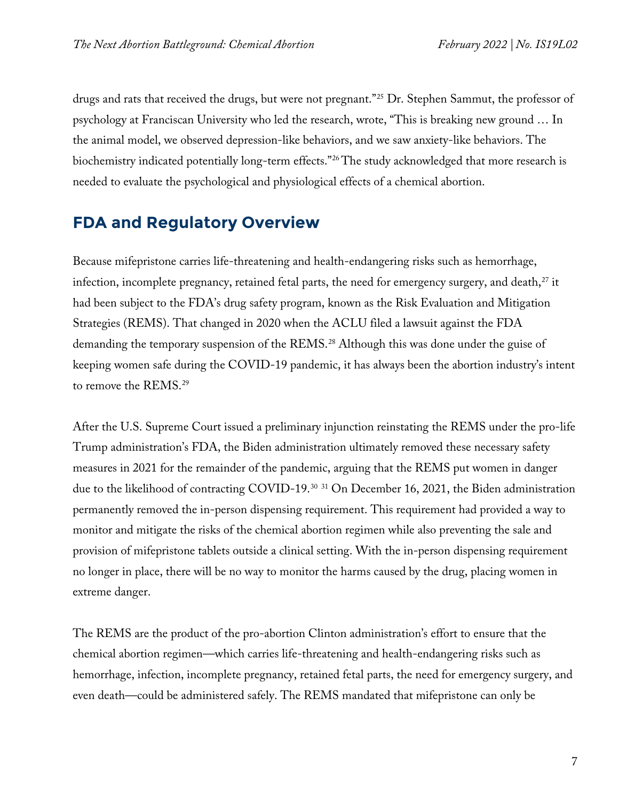drugs and rats that received the drugs, but were not pregnant."[25](#page-21-5) Dr. Stephen Sammut, the professor of psychology at Franciscan University who led the research, wrote, "This is breaking new ground … In the animal model, we observed depression-like behaviors, and we saw anxiety-like behaviors. The biochemistry indicated potentially long-term effects."[26](#page-21-6) The study acknowledged that more research is needed to evaluate the psychological and physiological effects of a chemical abortion.

## **FDA and Regulatory Overview**

Because mifepristone carries life-threatening and health-endangering risks such as hemorrhage, infection, incomplete pregnancy, retained fetal parts, the need for emergency surgery, and death,<sup>[27](#page-21-7)</sup> it had been subject to the FDA's drug safety program, known as the Risk Evaluation and Mitigation Strategies (REMS). That changed in 2020 when the ACLU filed a lawsuit against the FDA demanding the temporary suspension of the REMS.<sup>[28](#page-21-8)</sup> Although this was done under the guise of keeping women safe during the COVID-19 pandemic, it has always been the abortion industry's intent to remove the REMS.<sup>[29](#page-21-9)</sup>

After the U.S. Supreme Court issued a preliminary injunction reinstating the REMS under the pro-life Trump administration's FDA, the Biden administration ultimately removed these necessary safety measures in 2021 for the remainder of the pandemic, arguing that the REMS put women in danger due to the likelihood of contracting COVID-19.[30](#page-21-10) [31](#page-21-11) On December 16, 2021, the Biden administration permanently removed the in-person dispensing requirement. This requirement had provided a way to monitor and mitigate the risks of the chemical abortion regimen while also preventing the sale and provision of mifepristone tablets outside a clinical setting. With the in-person dispensing requirement no longer in place, there will be no way to monitor the harms caused by the drug, placing women in extreme danger.

The REMS are the product of the pro-abortion Clinton administration's effort to ensure that the chemical abortion regimen—which carries life-threatening and health-endangering risks such as hemorrhage, infection, incomplete pregnancy, retained fetal parts, the need for emergency surgery, and even death—could be administered safely. The REMS mandated that mifepristone can only be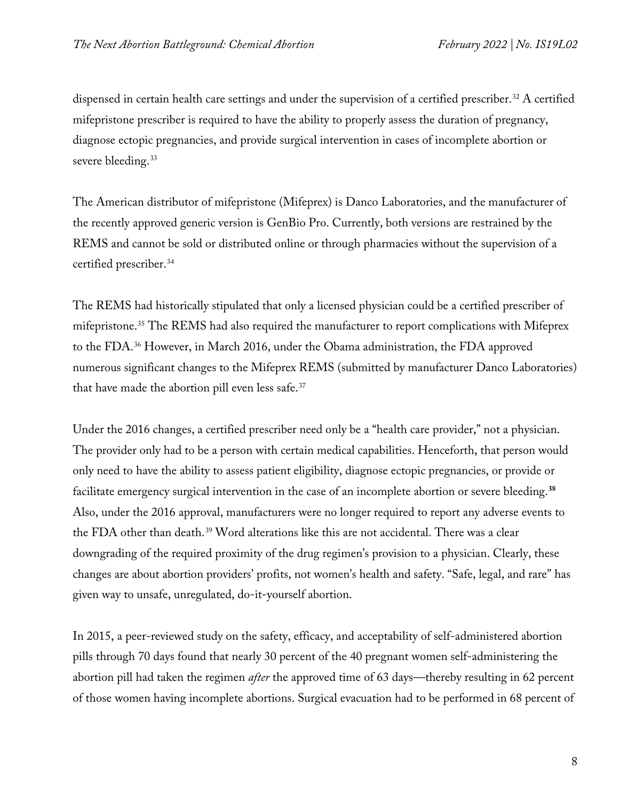dispensed in certain health care settings and under the supervision of a certified prescriber.<sup>[32](#page-21-12)</sup> A certified mifepristone prescriber is required to have the ability to properly assess the duration of pregnancy, diagnose ectopic pregnancies, and provide surgical intervention in cases of incomplete abortion or severe bleeding.<sup>[33](#page-21-13)</sup>

The American distributor of mifepristone (Mifeprex) is Danco Laboratories, and the manufacturer of the recently approved generic version is GenBio Pro. Currently, both versions are restrained by the REMS and cannot be sold or distributed online or through pharmacies without the supervision of a certified prescriber.<sup>[34](#page-21-14)</sup>

The REMS had historically stipulated that only a licensed physician could be a certified prescriber of mifepristone.<sup>[35](#page-22-0)</sup> The REMS had also required the manufacturer to report complications with Mifeprex to the FDA.[36](#page-22-1) However, in March 2016, under the Obama administration, the FDA approved numerous significant changes to the Mifeprex REMS (submitted by manufacturer Danco Laboratories) that have made the abortion pill even less safe.[37](#page-22-2)

Under the 2016 changes, a certified prescriber need only be a "health care provider," not a physician. The provider only had to be a person with certain medical capabilities. Henceforth, that person would only need to have the ability to assess patient eligibility, diagnose ectopic pregnancies, or provide or facilitate emergency surgical intervention in the case of an incomplete abortion or severe bleeding.**[38](#page-22-3)** Also, under the 2016 approval, manufacturers were no longer required to report any adverse events to the FDA other than death.<sup>[39](#page-22-4)</sup> Word alterations like this are not accidental. There was a clear downgrading of the required proximity of the drug regimen's provision to a physician. Clearly, these changes are about abortion providers' profits, not women's health and safety. "Safe, legal, and rare" has given way to unsafe, unregulated, do-it-yourself abortion.

In 2015, a peer-reviewed study on the safety, efficacy, and acceptability of self-administered abortion pills through 70 days found that nearly 30 percent of the 40 pregnant women self-administering the abortion pill had taken the regimen *after* the approved time of 63 days—thereby resulting in 62 percent of those women having incomplete abortions. Surgical evacuation had to be performed in 68 percent of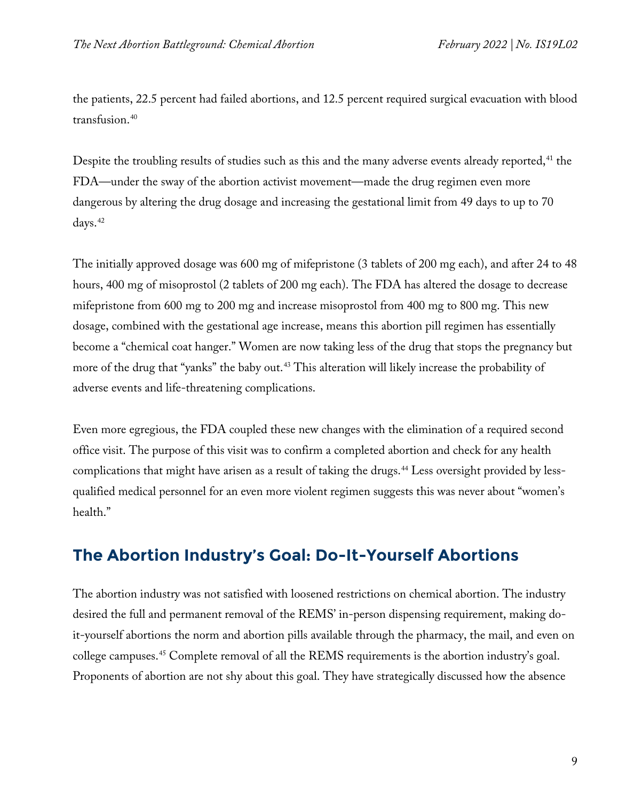the patients, 22.5 percent had failed abortions, and 12.5 percent required surgical evacuation with blood transfusion.[40](#page-22-5)

Despite the troubling results of studies such as this and the many adverse events already reported,<sup>[41](#page-22-6)</sup> the FDA—under the sway of the abortion activist movement—made the drug regimen even more dangerous by altering the drug dosage and increasing the gestational limit from 49 days to up to 70 days.<sup>42</sup>

The initially approved dosage was 600 mg of mifepristone (3 tablets of 200 mg each), and after 24 to 48 hours, 400 mg of misoprostol (2 tablets of 200 mg each). The FDA has altered the dosage to decrease mifepristone from 600 mg to 200 mg and increase misoprostol from 400 mg to 800 mg. This new dosage, combined with the gestational age increase, means this abortion pill regimen has essentially become a "chemical coat hanger." Women are now taking less of the drug that stops the pregnancy but more of the drug that "yanks" the baby out.<sup>[43](#page-22-8)</sup> This alteration will likely increase the probability of adverse events and life-threatening complications.

Even more egregious, the FDA coupled these new changes with the elimination of a required second office visit. The purpose of this visit was to confirm a completed abortion and check for any health complications that might have arisen as a result of taking the drugs.<sup>[44](#page-22-9)</sup> Less oversight provided by lessqualified medical personnel for an even more violent regimen suggests this was never about "women's health."

# **The Abortion Industry's Goal: Do-It-Yourself Abortions**

The abortion industry was not satisfied with loosened restrictions on chemical abortion. The industry desired the full and permanent removal of the REMS' in-person dispensing requirement, making doit-yourself abortions the norm and abortion pills available through the pharmacy, the mail, and even on college campuses.[45](#page-22-10) Complete removal of all the REMS requirements is the abortion industry's goal. Proponents of abortion are not shy about this goal. They have strategically discussed how the absence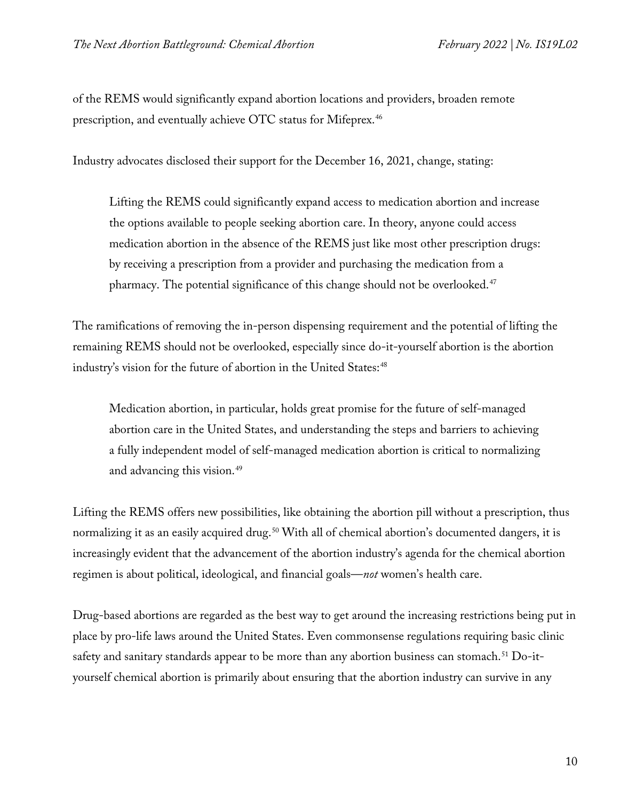of the REMS would significantly expand abortion locations and providers, broaden remote prescription, and eventually achieve OTC status for Mifeprex.[46](#page-22-11)

Industry advocates disclosed their support for the December 16, 2021, change, stating:

Lifting the REMS could significantly expand access to medication abortion and increase the options available to people seeking abortion care. In theory, anyone could access medication abortion in the absence of the REMS just like most other prescription drugs: by receiving a prescription from a provider and purchasing the medication from a pharmacy. The potential significance of this change should not be overlooked.<sup>[47](#page-22-12)</sup>

The ramifications of removing the in-person dispensing requirement and the potential of lifting the remaining REMS should not be overlooked, especially since do-it-yourself abortion is the abortion industry's vision for the future of abortion in the United States:<sup>[48](#page-22-13)</sup>

Medication abortion, in particular, holds great promise for the future of self-managed abortion care in the United States, and understanding the steps and barriers to achieving a fully independent model of self-managed medication abortion is critical to normalizing and advancing this vision.[49](#page-22-14)

Lifting the REMS offers new possibilities, like obtaining the abortion pill without a prescription, thus normalizing it as an easily acquired drug.<sup>[50](#page-22-15)</sup> With all of chemical abortion's documented dangers, it is increasingly evident that the advancement of the abortion industry's agenda for the chemical abortion regimen is about political, ideological, and financial goals—*not* women's health care.

Drug-based abortions are regarded as the best way to get around the increasing restrictions being put in place by pro-life laws around the United States. Even commonsense regulations requiring basic clinic safety and sanitary standards appear to be more than any abortion business can stomach.<sup>[51](#page-22-16)</sup> Do-ityourself chemical abortion is primarily about ensuring that the abortion industry can survive in any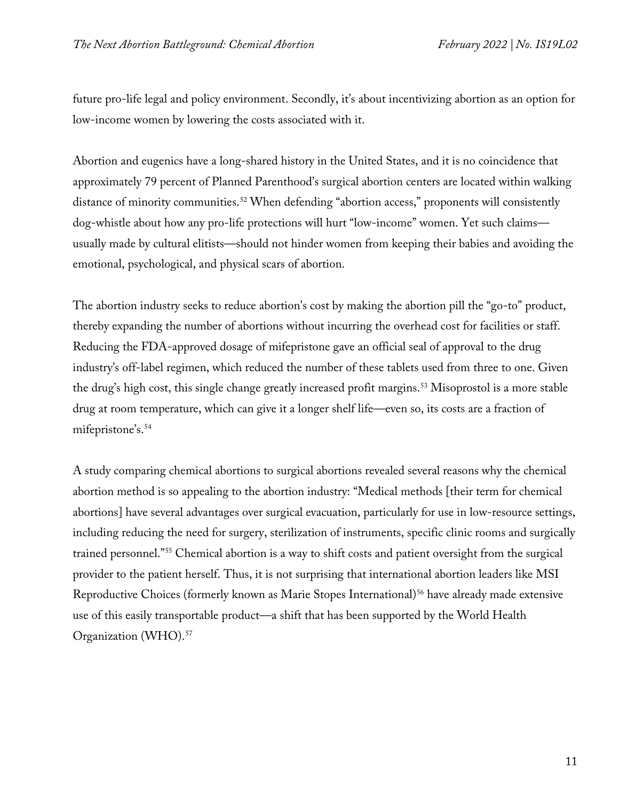future pro-life legal and policy environment. Secondly, it's about incentivizing abortion as an option for low-income women by lowering the costs associated with it.

Abortion and eugenics have a long-shared history in the United States, and it is no coincidence that approximately 79 percent of Planned Parenthood's surgical abortion centers are located within walking distance of minority communities.<sup>52</sup> When defending "abortion access," proponents will consistently dog-whistle about how any pro-life protections will hurt "low-income" women. Yet such claims usually made by cultural elitists—should not hinder women from keeping their babies and avoiding the emotional, psychological, and physical scars of abortion.

The abortion industry seeks to reduce abortion's cost by making the abortion pill the "go-to" product, thereby expanding the number of abortions without incurring the overhead cost for facilities or staff. Reducing the FDA-approved dosage of mifepristone gave an official seal of approval to the drug industry's off-label regimen, which reduced the number of these tablets used from three to one. Given the drug's high cost, this single change greatly increased profit margins.<sup>[53](#page-22-18)</sup> Misoprostol is a more stable drug at room temperature, which can give it a longer shelf life—even so, its costs are a fraction of mifepristone's.[54](#page-22-19)

A study comparing chemical abortions to surgical abortions revealed several reasons why the chemical abortion method is so appealing to the abortion industry: "Medical methods [their term for chemical abortions] have several advantages over surgical evacuation, particularly for use in low-resource settings, including reducing the need for surgery, sterilization of instruments, specific clinic rooms and surgically trained personnel.["55](#page-22-20) Chemical abortion is a way to shift costs and patient oversight from the surgical provider to the patient herself. Thus, it is not surprising that international abortion leaders like MSI Reproductive Choices (formerly known as Marie Stopes International)<sup>56</sup> have already made extensive use of this easily transportable product—a shift that has been supported by the World Health Organization (WHO).[57](#page-23-1)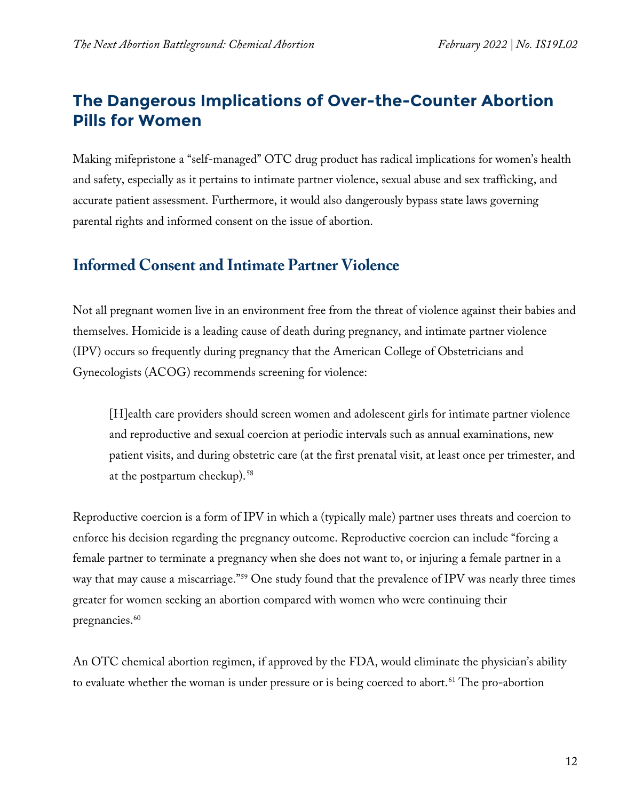# **The Dangerous Implications of Over-the-Counter Abortion Pills for Women**

Making mifepristone a "self-managed" OTC drug product has radical implications for women's health and safety, especially as it pertains to intimate partner violence, sexual abuse and sex trafficking, and accurate patient assessment. Furthermore, it would also dangerously bypass state laws governing parental rights and informed consent on the issue of abortion.

## **Informed Consent and Intimate Partner Violence**

Not all pregnant women live in an environment free from the threat of violence against their babies and themselves. Homicide is a leading cause of death during pregnancy, and intimate partner violence (IPV) occurs so frequently during pregnancy that the American College of Obstetricians and Gynecologists (ACOG) recommends screening for violence:

[H]ealth care providers should screen women and adolescent girls for intimate partner violence and reproductive and sexual coercion at periodic intervals such as annual examinations, new patient visits, and during obstetric care (at the first prenatal visit, at least once per trimester, and at the postpartum checkup).<sup>[58](#page-23-2)</sup>

Reproductive coercion is a form of IPV in which a (typically male) partner uses threats and coercion to enforce his decision regarding the pregnancy outcome. Reproductive coercion can include "forcing a female partner to terminate a pregnancy when she does not want to, or injuring a female partner in a way that may cause a miscarriage."[59](#page-23-3) One study found that the prevalence of IPV was nearly three times greater for women seeking an abortion compared with women who were continuing their pregnancies.<sup>[60](#page-23-4)</sup>

An OTC chemical abortion regimen, if approved by the FDA, would eliminate the physician's ability to evaluate whether the woman is under pressure or is being coerced to abort.<sup>[61](#page-23-5)</sup> The pro-abortion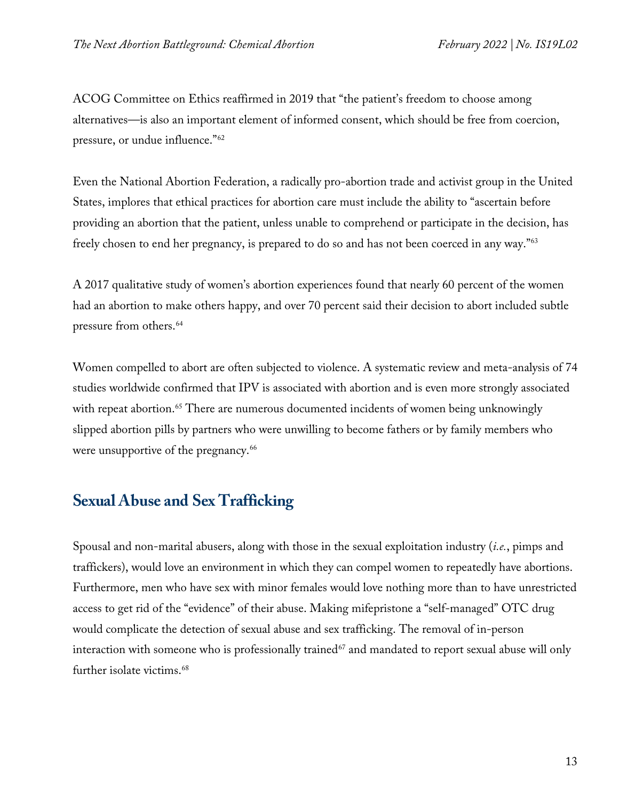ACOG Committee on Ethics reaffirmed in 2019 that "the patient's freedom to choose among alternatives—is also an important element of informed consent, which should be free from coercion, pressure, or undue influence."[62](#page-23-6)

Even the National Abortion Federation, a radically pro-abortion trade and activist group in the United States, implores that ethical practices for abortion care must include the ability to "ascertain before providing an abortion that the patient, unless unable to comprehend or participate in the decision, has freely chosen to end her pregnancy, is prepared to do so and has not been coerced in any way.["63](#page-23-7)

A 2017 qualitative study of women's abortion experiences found that nearly 60 percent of the women had an abortion to make others happy, and over 70 percent said their decision to abort included subtle pressure from others.<sup>[64](#page-23-8)</sup>

Women compelled to abort are often subjected to violence. A systematic review and meta-analysis of 74 studies worldwide confirmed that IPV is associated with abortion and is even more strongly associated with repeat abortion.<sup>65</sup> There are numerous documented incidents of women being unknowingly slipped abortion pills by partners who were unwilling to become fathers or by family members who were unsupportive of the pregnancy.<sup>[66](#page-23-10)</sup>

#### **Sexual Abuse and Sex Trafficking**

Spousal and non-marital abusers, along with those in the sexual exploitation industry (*i.e.*, pimps and traffickers), would love an environment in which they can compel women to repeatedly have abortions. Furthermore, men who have sex with minor females would love nothing more than to have unrestricted access to get rid of the "evidence" of their abuse. Making mifepristone a "self-managed" OTC drug would complicate the detection of sexual abuse and sex trafficking. The removal of in-person interaction with someone who is professionally trained<sup>[67](#page-23-11)</sup> and mandated to report sexual abuse will only further isolate victims.<sup>[68](#page-24-0)</sup>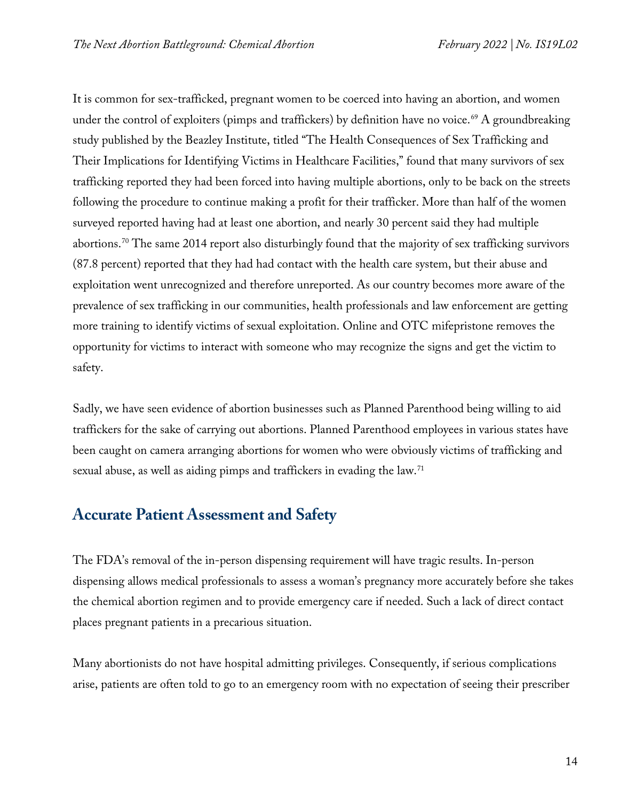It is common for sex-trafficked, pregnant women to be coerced into having an abortion, and women under the control of exploiters (pimps and traffickers) by definition have no voice.<sup>[69](#page-24-1)</sup> A groundbreaking study published by the Beazley Institute, titled "The Health Consequences of Sex Trafficking and Their Implications for Identifying Victims in Healthcare Facilities," found that many survivors of sex trafficking reported they had been forced into having multiple abortions, only to be back on the streets following the procedure to continue making a profit for their trafficker. More than half of the women surveyed reported having had at least one abortion, and nearly 30 percent said they had multiple abortions[.70](#page-24-2) The same 2014 report also disturbingly found that the majority of sex trafficking survivors (87.8 percent) reported that they had had contact with the health care system, but their abuse and exploitation went unrecognized and therefore unreported. As our country becomes more aware of the prevalence of sex trafficking in our communities, health professionals and law enforcement are getting more training to identify victims of sexual exploitation. Online and OTC mifepristone removes the opportunity for victims to interact with someone who may recognize the signs and get the victim to safety.

Sadly, we have seen evidence of abortion businesses such as Planned Parenthood being willing to aid traffickers for the sake of carrying out abortions. Planned Parenthood employees in various states have been caught on camera arranging abortions for women who were obviously victims of trafficking and sexual abuse, as well as aiding pimps and traffickers in evading the law.<sup>[71](#page-24-3)</sup>

# **Accurate Patient Assessment and Safety**

The FDA's removal of the in-person dispensing requirement will have tragic results. In-person dispensing allows medical professionals to assess a woman's pregnancy more accurately before she takes the chemical abortion regimen and to provide emergency care if needed. Such a lack of direct contact places pregnant patients in a precarious situation.

Many abortionists do not have hospital admitting privileges. Consequently, if serious complications arise, patients are often told to go to an emergency room with no expectation of seeing their prescriber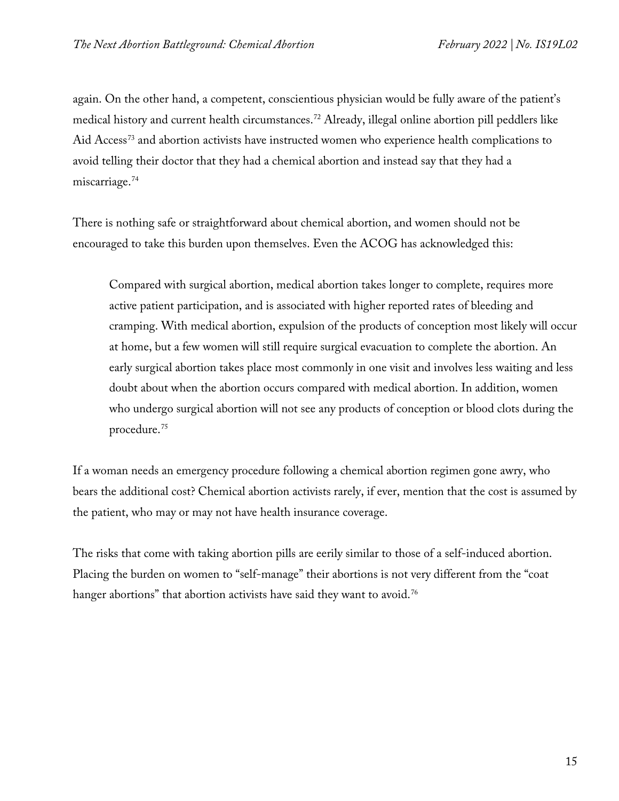again. On the other hand, a competent, conscientious physician would be fully aware of the patient's medical history and current health circumstances[.72](#page-24-4) Already, illegal online abortion pill peddlers like Aid Access<sup>[73](#page-24-5)</sup> and abortion activists have instructed women who experience health complications to avoid telling their doctor that they had a chemical abortion and instead say that they had a miscarriage.<sup>[74](#page-24-6)</sup>

There is nothing safe or straightforward about chemical abortion, and women should not be encouraged to take this burden upon themselves. Even the ACOG has acknowledged this:

Compared with surgical abortion, medical abortion takes longer to complete, requires more active patient participation, and is associated with higher reported rates of bleeding and cramping. With medical abortion, expulsion of the products of conception most likely will occur at home, but a few women will still require surgical evacuation to complete the abortion. An early surgical abortion takes place most commonly in one visit and involves less waiting and less doubt about when the abortion occurs compared with medical abortion. In addition, women who undergo surgical abortion will not see any products of conception or blood clots during the procedure.[75](#page-24-7)

If a woman needs an emergency procedure following a chemical abortion regimen gone awry, who bears the additional cost? Chemical abortion activists rarely, if ever, mention that the cost is assumed by the patient, who may or may not have health insurance coverage.

The risks that come with taking abortion pills are eerily similar to those of a self-induced abortion. Placing the burden on women to "self-manage" their abortions is not very different from the "coat hanger abortions" that abortion activists have said they want to avoid.<sup>[76](#page-24-8)</sup>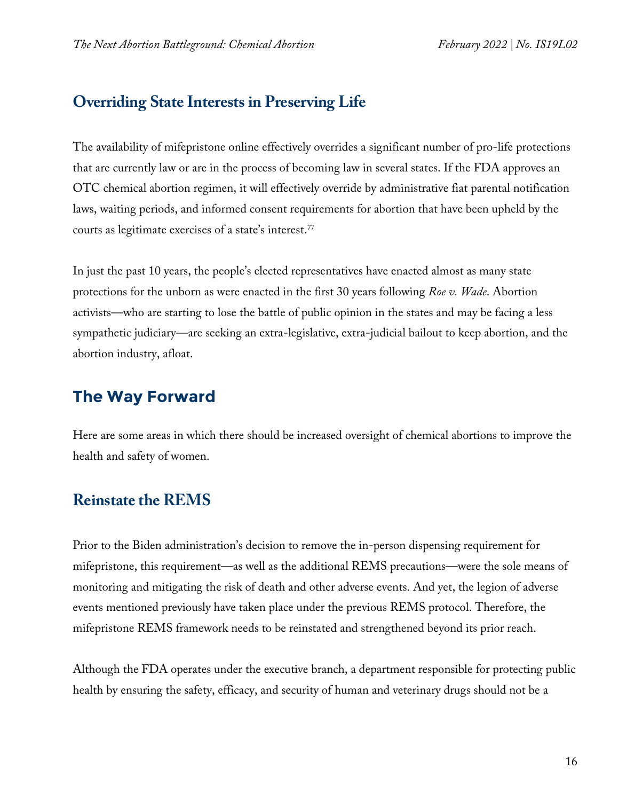#### **Overriding State Interests in Preserving Life**

The availability of mifepristone online effectively overrides a significant number of pro-life protections that are currently law or are in the process of becoming law in several states. If the FDA approves an OTC chemical abortion regimen, it will effectively override by administrative fiat parental notification laws, waiting periods, and informed consent requirements for abortion that have been upheld by the courts as legitimate exercises of a state's interest.[77](#page-24-9)

In just the past 10 years, the people's elected representatives have enacted almost as many state protections for the unborn as were enacted in the first 30 years following *Roe v. Wade*. Abortion activists—who are starting to lose the battle of public opinion in the states and may be facing a less sympathetic judiciary—are seeking an extra-legislative, extra-judicial bailout to keep abortion, and the abortion industry, afloat.

# **The Way Forward**

Here are some areas in which there should be increased oversight of chemical abortions to improve the health and safety of women.

# **Reinstate the REMS**

Prior to the Biden administration's decision to remove the in-person dispensing requirement for mifepristone, this requirement—as well as the additional REMS precautions—were the sole means of monitoring and mitigating the risk of death and other adverse events. And yet, the legion of adverse events mentioned previously have taken place under the previous REMS protocol. Therefore, the mifepristone REMS framework needs to be reinstated and strengthened beyond its prior reach.

Although the FDA operates under the executive branch, a department responsible for protecting public health by ensuring the safety, efficacy, and security of human and veterinary drugs should not be a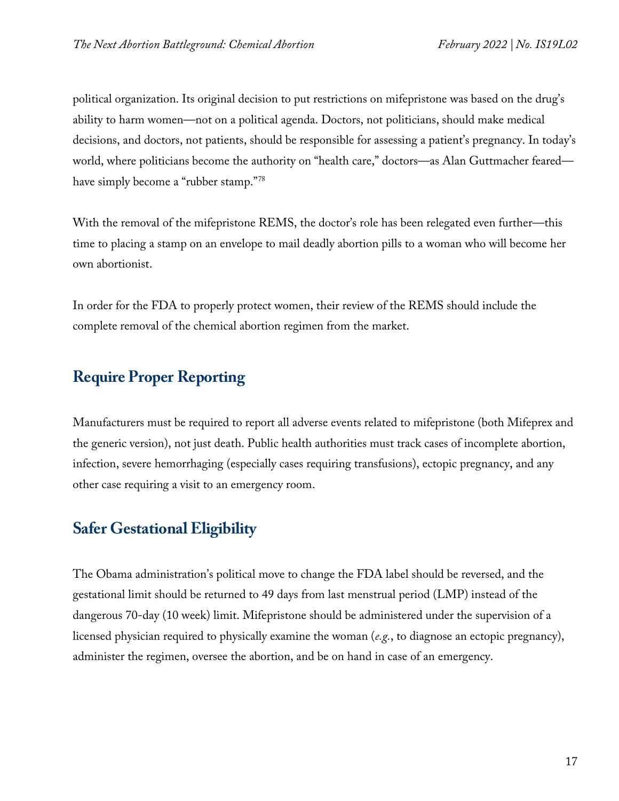political organization. Its original decision to put restrictions on mifepristone was based on the drug's ability to harm women—not on a political agenda. Doctors, not politicians, should make medical decisions, and doctors, not patients, should be responsible for assessing a patient's pregnancy. In today's world, where politicians become the authority on "health care," doctors—as Alan Guttmacher feared have simply become a "rubber stamp."[78](#page-24-10)

With the removal of the mifepristone REMS, the doctor's role has been relegated even further—this time to placing a stamp on an envelope to mail deadly abortion pills to a woman who will become her own abortionist.

In order for the FDA to properly protect women, their review of the REMS should include the complete removal of the chemical abortion regimen from the market.

# **Require Proper Reporting**

Manufacturers must be required to report all adverse events related to mifepristone (both Mifeprex and the generic version), not just death. Public health authorities must track cases of incomplete abortion, infection, severe hemorrhaging (especially cases requiring transfusions), ectopic pregnancy, and any other case requiring a visit to an emergency room.

## **Safer Gestational Eligibility**

The Obama administration's political move to change the FDA label should be reversed, and the gestational limit should be returned to 49 days from last menstrual period (LMP) instead of the dangerous 70-day (10 week) limit. Mifepristone should be administered under the supervision of a licensed physician required to physically examine the woman (*e.g.*, to diagnose an ectopic pregnancy), administer the regimen, oversee the abortion, and be on hand in case of an emergency.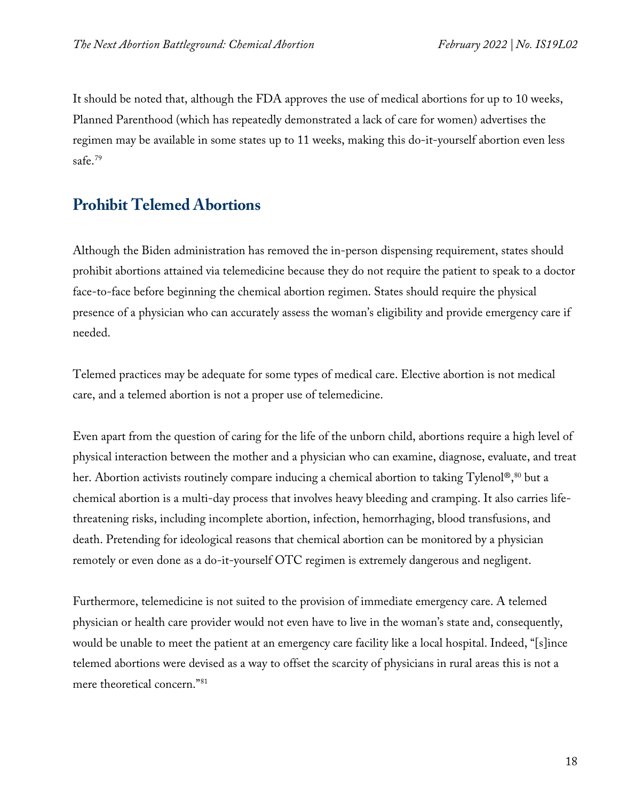It should be noted that, although the FDA approves the use of medical abortions for up to 10 weeks, Planned Parenthood (which has repeatedly demonstrated a lack of care for women) advertises the regimen may be available in some states up to 11 weeks, making this do-it-yourself abortion even less safe.[79](#page-24-11)

# **Prohibit Telemed Abortions**

Although the Biden administration has removed the in-person dispensing requirement, states should prohibit abortions attained via telemedicine because they do not require the patient to speak to a doctor face-to-face before beginning the chemical abortion regimen. States should require the physical presence of a physician who can accurately assess the woman's eligibility and provide emergency care if needed.

Telemed practices may be adequate for some types of medical care. Elective abortion is not medical care, and a telemed abortion is not a proper use of telemedicine.

Even apart from the question of caring for the life of the unborn child, abortions require a high level of physical interaction between the mother and a physician who can examine, diagnose, evaluate, and treat her. Abortion activists routinely compare inducing a chemical abortion to taking Tylenol®,<sup>[80](#page-24-12)</sup> but a chemical abortion is a multi-day process that involves heavy bleeding and cramping. It also carries lifethreatening risks, including incomplete abortion, infection, hemorrhaging, blood transfusions, and death. Pretending for ideological reasons that chemical abortion can be monitored by a physician remotely or even done as a do-it-yourself OTC regimen is extremely dangerous and negligent.

Furthermore, telemedicine is not suited to the provision of immediate emergency care. A telemed physician or health care provider would not even have to live in the woman's state and, consequently, would be unable to meet the patient at an emergency care facility like a local hospital. Indeed, "[s]ince telemed abortions were devised as a way to offset the scarcity of physicians in rural areas this is not a mere theoretical concern.["81](#page-24-13)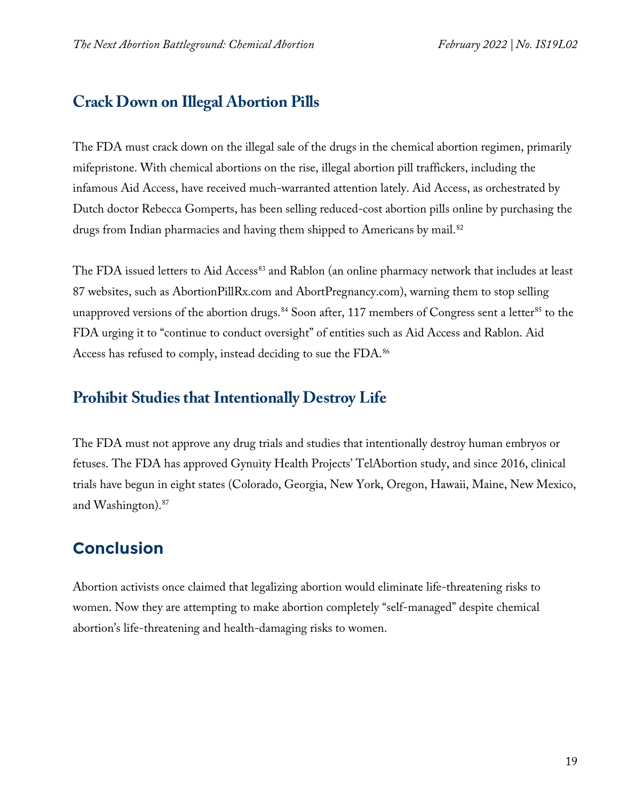# **Crack Down on Illegal Abortion Pills**

The FDA must crack down on the illegal sale of the drugs in the chemical abortion regimen, primarily mifepristone. With chemical abortions on the rise, illegal abortion pill traffickers, including the infamous Aid Access, have received much-warranted attention lately. Aid Access, as orchestrated by Dutch doctor Rebecca Gomperts, has been selling reduced-cost abortion pills online by purchasing the drugs from Indian pharmacies and having them shipped to Americans by mail.<sup>[82](#page-24-14)</sup>

The FDA issued letters to Aid Access<sup>[83](#page-24-15)</sup> and Rablon (an online pharmacy network that includes at least 87 websites, such as AbortionPillRx.com and AbortPregnancy.com), warning them to stop selling unapproved versions of the abortion drugs.<sup>[84](#page-25-0)</sup> Soon after, 117 members of Congress sent a letter<sup>[85](#page-25-1)</sup> to the FDA urging it to "continue to conduct oversight" of entities such as Aid Access and Rablon. Aid Access has refused to comply, instead deciding to sue the FDA.<sup>[86](#page-25-2)</sup>

# **Prohibit Studies that Intentionally Destroy Life**

The FDA must not approve any drug trials and studies that intentionally destroy human embryos or fetuses. The FDA has approved Gynuity Health Projects' TelAbortion study, and since 2016, clinical trials have begun in eight states (Colorado, Georgia, New York, Oregon, Hawaii, Maine, New Mexico, and Washington).[87](#page-25-3)

# **Conclusion**

Abortion activists once claimed that legalizing abortion would eliminate life-threatening risks to women. Now they are attempting to make abortion completely "self-managed" despite chemical abortion's life-threatening and health-damaging risks to women.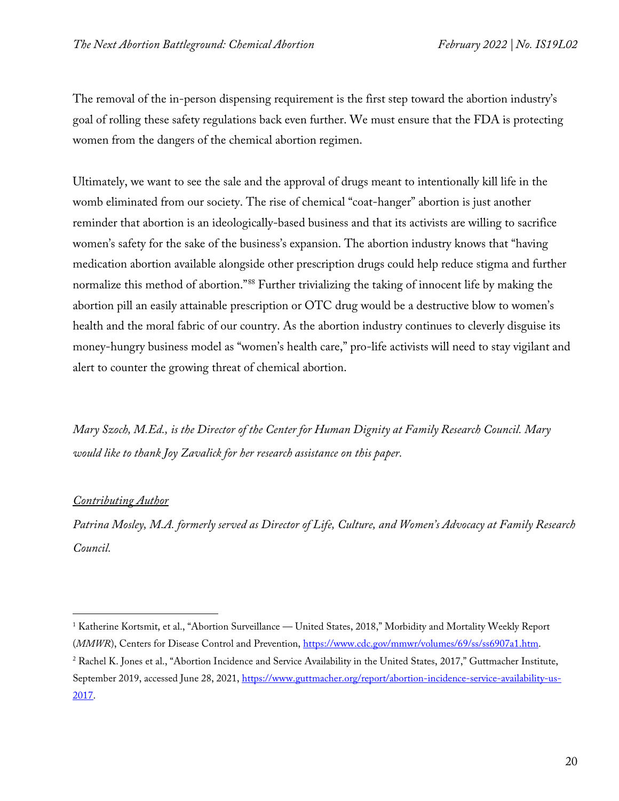The removal of the in-person dispensing requirement is the first step toward the abortion industry's goal of rolling these safety regulations back even further. We must ensure that the FDA is protecting women from the dangers of the chemical abortion regimen.

Ultimately, we want to see the sale and the approval of drugs meant to intentionally kill life in the womb eliminated from our society. The rise of chemical "coat-hanger" abortion is just another reminder that abortion is an ideologically-based business and that its activists are willing to sacrifice women's safety for the sake of the business's expansion. The abortion industry knows that "having medication abortion available alongside other prescription drugs could help reduce stigma and further normalize this method of abortion."[88](#page-25-4) Further trivializing the taking of innocent life by making the abortion pill an easily attainable prescription or OTC drug would be a destructive blow to women's health and the moral fabric of our country. As the abortion industry continues to cleverly disguise its money-hungry business model as "women's health care," pro-life activists will need to stay vigilant and alert to counter the growing threat of chemical abortion.

*Mary Szoch, M.Ed., is the Director of the Center for Human Dignity at Family Research Council. Mary would like to thank Joy Zavalick for her research assistance on this paper.*

#### *Contributing Author*

*Patrina Mosley, M.A. formerly served as Director of Life, Culture, and Women's Advocacy at Family Research Council.*

<span id="page-19-0"></span><sup>&</sup>lt;sup>1</sup> Katherine Kortsmit, et al., "Abortion Surveillance — United States, 2018," Morbidity and Mortality Weekly Report (*MMWR*), Centers for Disease Control and Prevention, [https://www.cdc.gov/mmwr/volumes/69/ss/ss6907a1.htm.](https://www.cdc.gov/mmwr/volumes/69/ss/ss6907a1.htm) <sup>2</sup> Rachel K. Jones et al., "Abortion Incidence and Service Availability in the United States, 2017," Guttmacher Institute,

<span id="page-19-1"></span>September 2019, accessed June 28, 2021, [https://www.guttmacher.org/report/abortion-incidence-service-availability-us-](https://www.guttmacher.org/report/abortion-incidence-service-availability-us-2017)[2017.](https://www.guttmacher.org/report/abortion-incidence-service-availability-us-2017)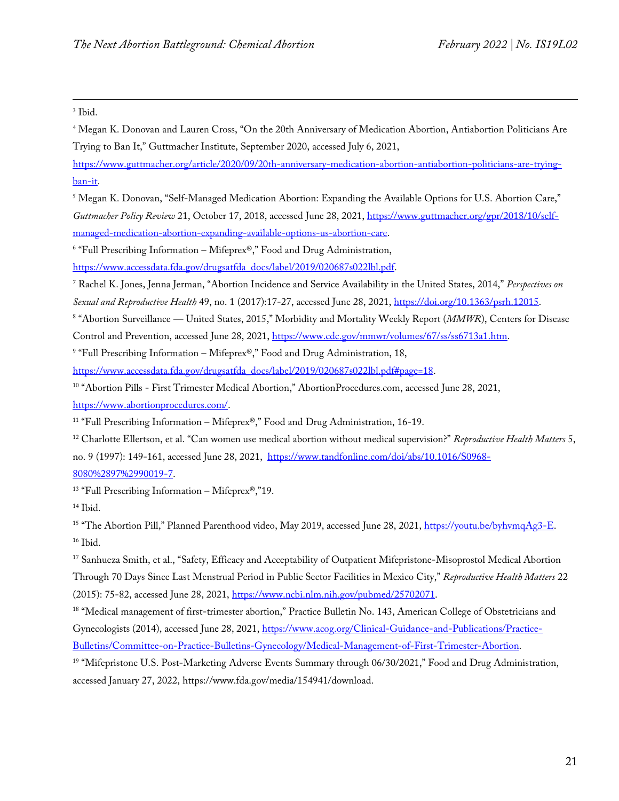<span id="page-20-0"></span><sup>3</sup> Ibid.

<span id="page-20-1"></span><sup>4</sup> Megan K. Donovan and Lauren Cross, "On the 20th Anniversary of Medication Abortion, Antiabortion Politicians Are Trying to Ban It," Guttmacher Institute, September 2020, accessed July 6, 2021,

[https://www.guttmacher.org/article/2020/09/20th-anniversary-medication-abortion-antiabortion-politicians-are-trying](https://www.guttmacher.org/article/2020/09/20th-anniversary-medication-abortion-antiabortion-politicians-are-trying-ban-it)[ban-it.](https://www.guttmacher.org/article/2020/09/20th-anniversary-medication-abortion-antiabortion-politicians-are-trying-ban-it)

<span id="page-20-2"></span><sup>5</sup> Megan K. Donovan, "Self-Managed Medication Abortion: Expanding the Available Options for U.S. Abortion Care," *Guttmacher Policy Review* 21, October 17, 2018, accessed June 28, 2021, [https://www.guttmacher.org/gpr/2018/10/self](https://www.guttmacher.org/gpr/2018/10/self-managed-medication-abortion-expanding-available-options-us-abortion-care)[managed-medication-abortion-expanding-available-options-us-abortion-care.](https://www.guttmacher.org/gpr/2018/10/self-managed-medication-abortion-expanding-available-options-us-abortion-care)

<span id="page-20-3"></span><sup>6</sup> "Full Prescribing Information – Mifeprex®," Food and Drug Administration,

[https://www.accessdata.fda.gov/drugsatfda\\_docs/label/2019/020687s022lbl.pdf.](https://www.accessdata.fda.gov/drugsatfda_docs/label/2019/020687s022lbl.pdf)

<span id="page-20-4"></span><sup>7</sup> Rachel K. Jones, Jenna Jerman, "Abortion Incidence and Service Availability in the United States, 2014," *Perspectives on Sexual and Reproductive Health* 49, no. 1 (2017):17-27, accessed June 28, 2021[, https://doi.org/10.1363/psrh.12015.](https://doi.org/10.1363/psrh.12015)

<span id="page-20-5"></span><sup>8</sup> "Abortion Surveillance — United States, 2015," Morbidity and Mortality Weekly Report (*MMWR*), Centers for Disease Control and Prevention, accessed June 28, 2021, [https://www.cdc.gov/mmwr/volumes/67/ss/ss6713a1.htm.](https://www.cdc.gov/mmwr/volumes/67/ss/ss6713a1.htm)

<span id="page-20-6"></span><sup>9</sup> "Full Prescribing Information – Mifeprex®," Food and Drug Administration, 18,

[https://www.accessdata.fda.gov/drugsatfda\\_docs/label/2019/020687s022lbl.pdf#page=18.](https://www.accessdata.fda.gov/drugsatfda_docs/label/2019/020687s022lbl.pdf#page=18)

<span id="page-20-7"></span><sup>10</sup> "Abortion Pills - First Trimester Medical Abortion," AbortionProcedures.com, accessed June 28, 2021, [https://www.abortionprocedures.com/.](https://www.abortionprocedures.com/) 

<span id="page-20-8"></span><sup>11</sup> "Full Prescribing Information – Mifeprex®," Food and Drug Administration, 16-19.

<span id="page-20-9"></span><sup>12</sup> Charlotte Ellertson, et al. "Can women use medical abortion without medical supervision?" *Reproductive Health Matters* 5, no. 9 (1997): 149-161, accessed June 28, 2021, [https://www.tandfonline.com/doi/abs/10.1016/S0968-](https://www.tandfonline.com/doi/abs/10.1016/S0968-8080%2897%2990019-7) [8080%2897%2990019-7.](https://www.tandfonline.com/doi/abs/10.1016/S0968-8080%2897%2990019-7)

<span id="page-20-10"></span><sup>13</sup> "Full Prescribing Information – Mifeprex®,"19.

<span id="page-20-11"></span> $14$  Ibid.

<span id="page-20-12"></span><sup>15</sup> "The Abortion Pill," Planned Parenthood video, May 2019, accessed June 28, 2021[, https://youtu.be/byhvmqAg3-E.](https://youtu.be/byhvmqAg3-E) <sup>16</sup> Ibid.

<span id="page-20-14"></span><span id="page-20-13"></span><sup>17</sup> Sanhueza Smith, et al., "Safety, Efficacy and Acceptability of Outpatient Mifepristone-Misoprostol Medical Abortion Through 70 Days Since Last Menstrual Period in Public Sector Facilities in Mexico City," *Reproductive Health Matters* 22 (2015): 75-82, accessed June 28, 2021, [https://www.ncbi.nlm.nih.gov/pubmed/25702071.](https://www.ncbi.nlm.nih.gov/pubmed/25702071)

<span id="page-20-15"></span><sup>18</sup> "Medical management of first-trimester abortion," Practice Bulletin No. 143, American College of Obstetricians and Gynecologists (2014), accessed June 28, 2021, [https://www.acog.org/Clinical-Guidance-and-Publications/Practice-](https://www.acog.org/Clinical-Guidance-and-Publications/Practice-Bulletins/Committee-on-Practice-Bulletins-Gynecology/Medical-Management-of-First-Trimester-Abortion)[Bulletins/Committee-on-Practice-Bulletins-Gynecology/Medical-Management-of-First-Trimester-Abortion.](https://www.acog.org/Clinical-Guidance-and-Publications/Practice-Bulletins/Committee-on-Practice-Bulletins-Gynecology/Medical-Management-of-First-Trimester-Abortion)

<span id="page-20-16"></span><sup>19</sup> "Mifepristone U.S. Post-Marketing Adverse Events Summary through 06/30/2021," Food and Drug Administration, accessed January 27, 2022, https://www.fda.gov/media/154941/download.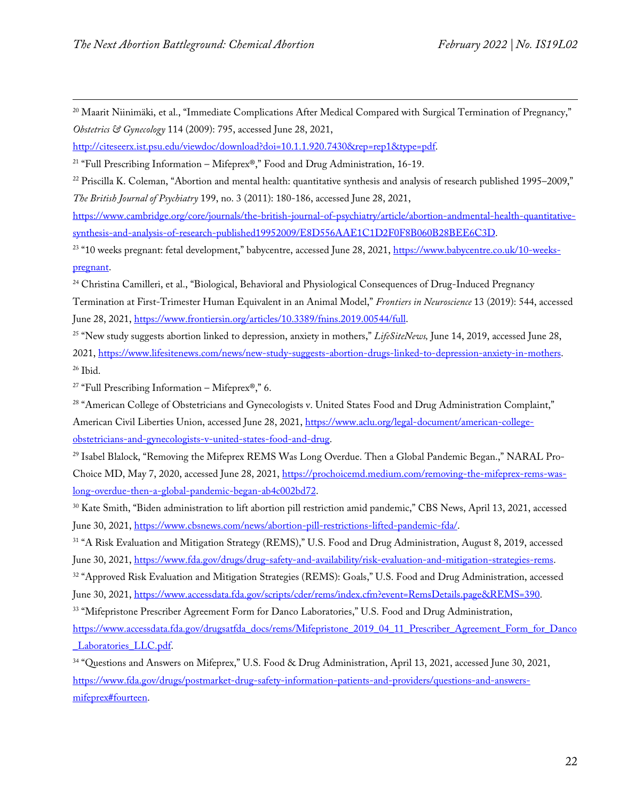<span id="page-21-0"></span><sup>20</sup> Maarit Niinimäki, et al., "Immediate Complications After Medical Compared with Surgical Termination of Pregnancy," *Obstetrics & Gynecology* 114 (2009): 795, accessed June 28, 2021,

[http://citeseerx.ist.psu.edu/viewdoc/download?doi=10.1.1.920.7430&rep=rep1&type=pdf.](http://citeseerx.ist.psu.edu/viewdoc/download?doi=10.1.1.920.7430&rep=rep1&type=pdf)

<span id="page-21-1"></span><sup>21</sup> "Full Prescribing Information – Mifeprex®," Food and Drug Administration, 16-19.

<span id="page-21-2"></span><sup>22</sup> Priscilla K. Coleman, "Abortion and mental health: quantitative synthesis and analysis of research published 1995–2009," *The British Journal of Psychiatry* 199, no. 3 (2011): 180-186, accessed June 28, 2021,

[https://www.cambridge.org/core/journals/the-british-journal-of-psychiatry/article/abortion-andmental-health-quantitative](https://www.cambridge.org/core/journals/the-british-journal-of-psychiatry/article/abortion-andmental-health-quantitative-synthesis-and-analysis-of-research-published19952009/E8D556AAE1C1D2F0F8B060B28BEE6C3D)[synthesis-and-analysis-of-research-published19952009/E8D556AAE1C1D2F0F8B060B28BEE6C3D.](https://www.cambridge.org/core/journals/the-british-journal-of-psychiatry/article/abortion-andmental-health-quantitative-synthesis-and-analysis-of-research-published19952009/E8D556AAE1C1D2F0F8B060B28BEE6C3D)

<span id="page-21-3"></span><sup>23</sup> "10 weeks pregnant: fetal development," babycentre, accessed June 28, 2021, [https://www.babycentre.co.uk/10-weeks](https://www.babycentre.co.uk/10-weeks-pregnant)[pregnant.](https://www.babycentre.co.uk/10-weeks-pregnant)

<span id="page-21-4"></span><sup>24</sup> Christina Camilleri, et al., "Biological, Behavioral and Physiological Consequences of Drug-Induced Pregnancy Termination at First-Trimester Human Equivalent in an Animal Model," *Frontiers in Neuroscience* 13 (2019): 544, accessed June 28, 2021[, https://www.frontiersin.org/articles/10.3389/fnins.2019.00544/full.](https://www.frontiersin.org/articles/10.3389/fnins.2019.00544/full)

<span id="page-21-5"></span><sup>25</sup> "New study suggests abortion linked to depression, anxiety in mothers," *LifeSiteNews,* June 14, 2019, accessed June 28, 2021, [https://www.lifesitenews.com/news/new-study-suggests-abortion-drugs-linked-to-depression-anxiety-in-mothers.](https://www.lifesitenews.com/news/new-study-suggests-abortion-drugs-linked-to-depression-anxiety-in-mothers) <sup>26</sup> Ibid.

<span id="page-21-7"></span><span id="page-21-6"></span><sup>27</sup> "Full Prescribing Information – Mifeprex<sup>®</sup>," 6.

<span id="page-21-8"></span><sup>28</sup> "American College of Obstetricians and Gynecologists v. United States Food and Drug Administration Complaint," American Civil Liberties Union, accessed June 28, 2021, [https://www.aclu.org/legal-document/american-college](https://www.aclu.org/legal-document/american-college-obstetricians-and-gynecologists-v-united-states-food-and-drug)[obstetricians-and-gynecologists-v-united-states-food-and-drug.](https://www.aclu.org/legal-document/american-college-obstetricians-and-gynecologists-v-united-states-food-and-drug) 

<span id="page-21-9"></span><sup>29</sup> Isabel Blalock, "Removing the Mifeprex REMS Was Long Overdue. Then a Global Pandemic Began.," NARAL Pro-Choice MD, May 7, 2020, accessed June 28, 2021, [https://prochoicemd.medium.com/removing-the-mifeprex-rems-was](https://prochoicemd.medium.com/removing-the-mifeprex-rems-was-long-overdue-then-a-global-pandemic-began-ab4c002bd72)[long-overdue-then-a-global-pandemic-began-ab4c002bd72.](https://prochoicemd.medium.com/removing-the-mifeprex-rems-was-long-overdue-then-a-global-pandemic-began-ab4c002bd72)

<span id="page-21-10"></span><sup>30</sup> Kate Smith, "Biden administration to lift abortion pill restriction amid pandemic," CBS News, April 13, 2021, accessed June 30, 2021, [https://www.cbsnews.com/news/abortion-pill-restrictions-lifted-pandemic-fda/.](https://www.cbsnews.com/news/abortion-pill-restrictions-lifted-pandemic-fda/)

<span id="page-21-11"></span><sup>31</sup> "A Risk Evaluation and Mitigation Strategy (REMS)," U.S. Food and Drug Administration, August 8, 2019, accessed June 30, 2021[, https://www.fda.gov/drugs/drug-safety-and-availability/risk-evaluation-and-mitigation-strategies-rems.](https://www.fda.gov/drugs/drug-safety-and-availability/risk-evaluation-and-mitigation-strategies-rems)

<span id="page-21-12"></span><sup>32</sup> "Approved Risk Evaluation and Mitigation Strategies (REMS): Goals," U.S. Food and Drug Administration, accessed June 30, 2021[, https://www.accessdata.fda.gov/scripts/cder/rems/index.cfm?event=RemsDetails.page&REMS=390.](https://www.accessdata.fda.gov/scripts/cder/rems/index.cfm?event=RemsDetails.page&REMS=390)

<span id="page-21-13"></span><sup>33</sup> "Mifepristone Prescriber Agreement Form for Danco Laboratories," U.S. Food and Drug Administration,

[https://www.accessdata.fda.gov/drugsatfda\\_docs/rems/Mifepristone\\_2019\\_04\\_11\\_Prescriber\\_Agreement\\_Form\\_for\\_Danco](https://www.accessdata.fda.gov/drugsatfda_docs/rems/Mifepristone_2019_04_11_Prescriber_Agreement_Form_for_Danco_Laboratories_LLC.pdf) Laboratories LLC.pdf.

<span id="page-21-14"></span><sup>34</sup> "Questions and Answers on Mifeprex," U.S. Food & Drug Administration, April 13, 2021, accessed June 30, 2021, [https://www.fda.gov/drugs/postmarket-drug-safety-information-patients-and-providers/questions-and-answers](https://www.fda.gov/drugs/postmarket-drug-safety-information-patients-and-providers/questions-and-answers-mifeprex#fourteen)[mifeprex#fourteen.](https://www.fda.gov/drugs/postmarket-drug-safety-information-patients-and-providers/questions-and-answers-mifeprex#fourteen)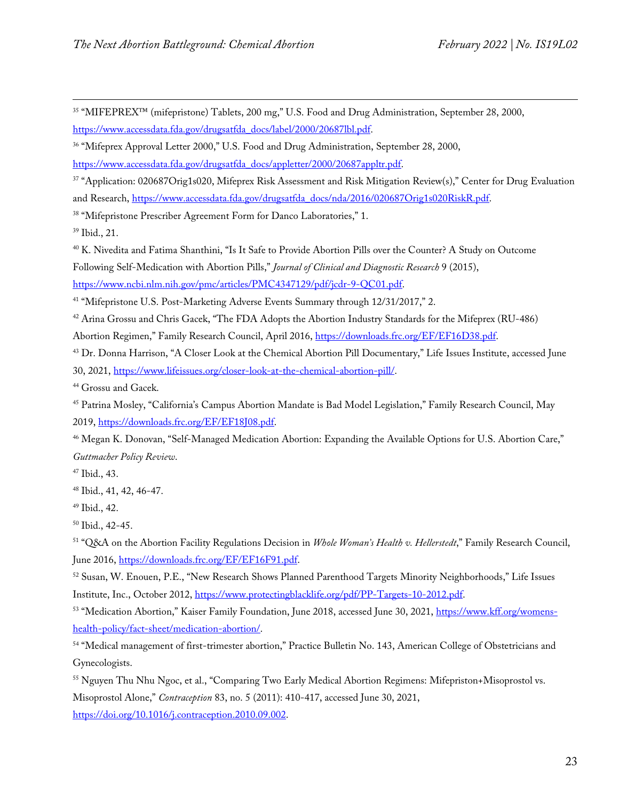<span id="page-22-0"></span><sup>35</sup> "MIFEPREX™ (mifepristone) Tablets, 200 mg," U.S. Food and Drug Administration, September 28, 2000, [https://www.accessdata.fda.gov/drugsatfda\\_docs/label/2000/20687lbl.pdf.](https://www.accessdata.fda.gov/drugsatfda_docs/label/2000/20687lbl.pdf)

<span id="page-22-1"></span><sup>36</sup> "Mifeprex Approval Letter 2000," U.S. Food and Drug Administration, September 28, 2000,

[https://www.accessdata.fda.gov/drugsatfda\\_docs/appletter/2000/20687appltr.pdf.](https://www.accessdata.fda.gov/drugsatfda_docs/appletter/2000/20687appltr.pdf)

<span id="page-22-2"></span><sup>37</sup> "Application: 020687Orig1s020, Mifeprex Risk Assessment and Risk Mitigation Review(s)," Center for Drug Evaluation and Research[, https://www.accessdata.fda.gov/drugsatfda\\_docs/nda/2016/020687Orig1s020RiskR.pdf.](https://www.accessdata.fda.gov/drugsatfda_docs/nda/2016/020687Orig1s020RiskR.pdf)

<span id="page-22-3"></span><sup>38</sup> "Mifepristone Prescriber Agreement Form for Danco Laboratories," 1.

<span id="page-22-4"></span><sup>39</sup> Ibid., 21.

<span id="page-22-5"></span><sup>40</sup> K. Nivedita and Fatima Shanthini, "Is It Safe to Provide Abortion Pills over the Counter? A Study on Outcome Following Self-Medication with Abortion Pills," *Journal of Clinical and Diagnostic Research* 9 (2015), [https://www.ncbi.nlm.nih.gov/pmc/articles/PMC4347129/pdf/jcdr-9-QC01.pdf.](https://www.ncbi.nlm.nih.gov/pmc/articles/PMC4347129/pdf/jcdr-9-QC01.pdf)

<span id="page-22-6"></span><sup>41</sup> "Mifepristone U.S. Post-Marketing Adverse Events Summary through 12/31/2017," 2.

<span id="page-22-7"></span><sup>42</sup> Arina Grossu and Chris Gacek, "The FDA Adopts the Abortion Industry Standards for the Mifeprex (RU-486) Abortion Regimen," Family Research Council, April 2016, [https://downloads.frc.org/EF/EF16D38.pdf.](https://downloads.frc.org/EF/EF16D38.pdf)

<span id="page-22-8"></span><sup>43</sup> Dr. Donna Harrison, "A Closer Look at the Chemical Abortion Pill Documentary," Life Issues Institute, accessed June 30, 2021, [https://www.lifeissues.org/closer-look-at-the-chemical-abortion-pill/.](https://www.lifeissues.org/closer-look-at-the-chemical-abortion-pill/)

<span id="page-22-9"></span><sup>44</sup> Grossu and Gacek.

<span id="page-22-10"></span><sup>45</sup> Patrina Mosley, "California's Campus Abortion Mandate is Bad Model Legislation," Family Research Council, May 2019, [https://downloads.frc.org/EF/EF18J08.pdf.](https://downloads.frc.org/EF/EF18J08.pdf)

<span id="page-22-11"></span><sup>46</sup> Megan K. Donovan, "Self-Managed Medication Abortion: Expanding the Available Options for U.S. Abortion Care," *Guttmacher Policy Review*.

<span id="page-22-12"></span><sup>47</sup> Ibid., 43.

<span id="page-22-13"></span><sup>48</sup> Ibid., 41, 42, 46-47.

<span id="page-22-14"></span><sup>49</sup> Ibid., 42.

<span id="page-22-15"></span><sup>50</sup> Ibid., 42-45.

<span id="page-22-16"></span><sup>51</sup> "Q&A on the Abortion Facility Regulations Decision in *Whole Woman's Health v. Hellerstedt*," Family Research Council, June 2016[, https://downloads.frc.org/EF/EF16F91.pdf.](https://downloads.frc.org/EF/EF16F91.pdf)

<span id="page-22-17"></span><sup>52</sup> Susan, W. Enouen, P.E., "New Research Shows Planned Parenthood Targets Minority Neighborhoods," Life Issues Institute, Inc., October 2012, [https://www.protectingblacklife.org/pdf/PP-Targets-10-2012.pdf.](https://www.protectingblacklife.org/pdf/PP-Targets-10-2012.pdf)

<span id="page-22-18"></span>53 "Medication Abortion," Kaiser Family Foundation, June 2018, accessed June 30, 2021, [https://www.kff.org/womens](https://www.kff.org/womens-health-policy/fact-sheet/medication-abortion/)[health-policy/fact-sheet/medication-abortion/.](https://www.kff.org/womens-health-policy/fact-sheet/medication-abortion/)

<span id="page-22-19"></span><sup>54</sup> "Medical management of first-trimester abortion," Practice Bulletin No. 143, American College of Obstetricians and Gynecologists.

<span id="page-22-20"></span><sup>55</sup> Nguyen Thu Nhu Ngoc, et al., "Comparing Two Early Medical Abortion Regimens: Mifepriston+Misoprostol vs. Misoprostol Alone," *Contraception* 83, no. 5 (2011): 410-417, accessed June 30, 2021,

[https://doi.org/10.1016/j.contraception.2010.09.002.](https://doi.org/10.1016/j.contraception.2010.09.002)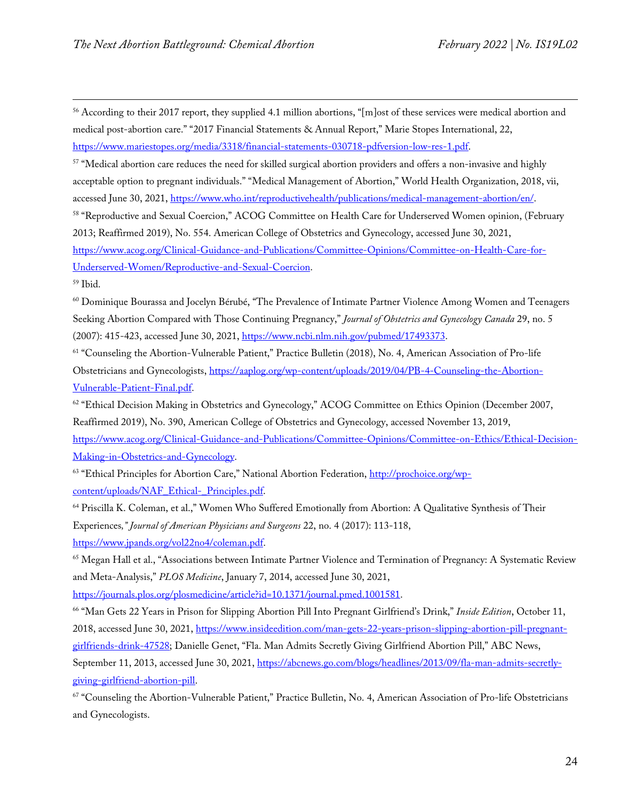<span id="page-23-0"></span><sup>56</sup> According to their 2017 report, they supplied 4.1 million abortions, " $[m]$ ost of these services were medical abortion and medical post-abortion care." "2017 Financial Statements & Annual Report," Marie Stopes International, 22, [https://www.mariestopes.org/media/3318/financial-statements-030718-pdfversion-low-res-1.pdf.](https://www.mariestopes.org/media/3318/financial-statements-030718-pdfversion-low-res-1.pdf)

<span id="page-23-1"></span><sup>57</sup> "Medical abortion care reduces the need for skilled surgical abortion providers and offers a non-invasive and highly acceptable option to pregnant individuals." "Medical Management of Abortion," World Health Organization, 2018, vii, accessed June 30, 2021[, https://www.who.int/reproductivehealth/publications/medical-management-abortion/en/.](https://www.who.int/reproductivehealth/publications/medical-management-abortion/en/)

<span id="page-23-2"></span><sup>58</sup> "Reproductive and Sexual Coercion," ACOG Committee on Health Care for Underserved Women opinion, (February 2013; Reaffirmed 2019), No. 554. American College of Obstetrics and Gynecology, accessed June 30, 2021, [https://www.acog.org/Clinical-Guidance-and-Publications/Committee-Opinions/Committee-on-Health-Care-for-](https://www.acog.org/Clinical-Guidance-and-Publications/Committee-Opinions/Committee-on-Health-Care-for-Underserved-Women/Reproductive-and-Sexual-Coercion)[Underserved-Women/Reproductive-and-Sexual-Coercion.](https://www.acog.org/Clinical-Guidance-and-Publications/Committee-Opinions/Committee-on-Health-Care-for-Underserved-Women/Reproductive-and-Sexual-Coercion)

<span id="page-23-3"></span><sup>59</sup> Ibid.

<span id="page-23-4"></span><sup>60</sup> Dominique Bourassa and Jocelyn Bérubé, "The Prevalence of Intimate Partner Violence Among Women and Teenagers Seeking Abortion Compared with Those Continuing Pregnancy," *Journal of Obstetrics and Gynecology Canada* 29, no. 5 (2007): 415-423, accessed June 30, 2021, [https://www.ncbi.nlm.nih.gov/pubmed/17493373.](https://www.ncbi.nlm.nih.gov/pubmed/17493373)

<span id="page-23-5"></span><sup>61</sup> "Counseling the Abortion-Vulnerable Patient," Practice Bulletin (2018), No. 4, American Association of Pro-life Obstetricians and Gynecologists, [https://aaplog.org/wp-content/uploads/2019/04/PB-4-Counseling-the-Abortion-](https://aaplog.org/wp-content/uploads/2019/04/PB-4-Counseling-the-Abortion-Vulnerable-Patient-Final.pdf)[Vulnerable-Patient-Final.pdf.](https://aaplog.org/wp-content/uploads/2019/04/PB-4-Counseling-the-Abortion-Vulnerable-Patient-Final.pdf)

<span id="page-23-6"></span><sup>62</sup> "Ethical Decision Making in Obstetrics and Gynecology," ACOG Committee on Ethics Opinion (December 2007, Reaffirmed 2019), No. 390, American College of Obstetrics and Gynecology, accessed November 13, 2019, [https://www.acog.org/Clinical-Guidance-and-Publications/Committee-Opinions/Committee-on-Ethics/Ethical-Decision-](https://www.acog.org/Clinical-Guidance-and-Publications/Committee-Opinions/Committee-on-Ethics/Ethical-Decision-Making-in-Obstetrics-and-Gynecology)[Making-in-Obstetrics-and-Gynecology.](https://www.acog.org/Clinical-Guidance-and-Publications/Committee-Opinions/Committee-on-Ethics/Ethical-Decision-Making-in-Obstetrics-and-Gynecology)

<span id="page-23-7"></span><sup>63</sup> "Ethical Principles for Abortion Care," National Abortion Federation[, http://prochoice.org/wp](http://prochoice.org/wp-content/uploads/NAF_Ethical-_Principles.pdf)[content/uploads/NAF\\_Ethical-\\_Principles.pdf.](http://prochoice.org/wp-content/uploads/NAF_Ethical-_Principles.pdf)

<span id="page-23-8"></span><sup>64</sup> Priscilla K. Coleman, et al.," Women Who Suffered Emotionally from Abortion: A Qualitative Synthesis of Their Experiences*," Journal of American Physicians and Surgeons* 22, no. 4 (2017): 113-118, [https://www.jpands.org/vol22no4/coleman.pdf.](https://www.jpands.org/vol22no4/coleman.pdf)

<span id="page-23-9"></span><sup>65</sup> Megan Hall et al., "Associations between Intimate Partner Violence and Termination of Pregnancy: A Systematic Review and Meta-Analysis," *PLOS Medicine*, January 7, 2014, accessed June 30, 2021,

[https://journals.plos.org/plosmedicine/article?id=10.1371/journal.pmed.1001581.](https://journals.plos.org/plosmedicine/article?id=10.1371/journal.pmed.1001581)

<span id="page-23-10"></span><sup>66</sup> "Man Gets 22 Years in Prison for Slipping Abortion Pill Into Pregnant Girlfriend's Drink," *Inside Edition*, October 11, 2018, accessed June 30, 2021[, https://www.insideedition.com/man-gets-22-years-prison-slipping-abortion-pill-pregnant](https://www.insideedition.com/man-gets-22-years-prison-slipping-abortion-pill-pregnant-girlfriends-drink-47528)[girlfriends-drink-47528;](https://www.insideedition.com/man-gets-22-years-prison-slipping-abortion-pill-pregnant-girlfriends-drink-47528) Danielle Genet, "Fla. Man Admits Secretly Giving Girlfriend Abortion Pill," ABC News, September 11, 2013, accessed June 30, 2021, [https://abcnews.go.com/blogs/headlines/2013/09/fla-man-admits-secretly](https://abcnews.go.com/blogs/headlines/2013/09/fla-man-admits-secretly-giving-girlfriend-abortion-pill)[giving-girlfriend-abortion-pill.](https://abcnews.go.com/blogs/headlines/2013/09/fla-man-admits-secretly-giving-girlfriend-abortion-pill)

<span id="page-23-11"></span><sup>67</sup> "Counseling the Abortion-Vulnerable Patient," Practice Bulletin, No. 4, American Association of Pro-life Obstetricians and Gynecologists.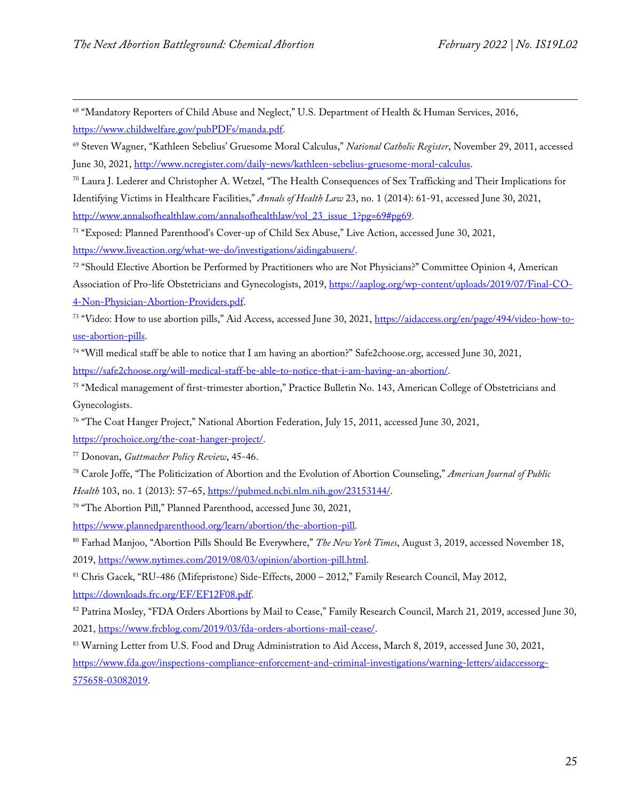<span id="page-24-0"></span><sup>68</sup> "Mandatory Reporters of Child Abuse and Neglect," U.S. Department of Health & Human Services, 2016, [https://www.childwelfare.gov/pubPDFs/manda.pdf.](https://www.childwelfare.gov/pubPDFs/manda.pdf)

<span id="page-24-1"></span><sup>69</sup> Steven Wagner, "Kathleen Sebelius' Gruesome Moral Calculus," *National Catholic Register*, November 29, 2011, accessed June 30, 2021[, http://www.ncregister.com/daily-news/kathleen-sebelius-gruesome-moral-calculus.](http://www.ncregister.com/daily-news/kathleen-sebelius-gruesome-moral-calculus)

<span id="page-24-2"></span><sup>70</sup> Laura J. Lederer and Christopher A. Wetzel, "The Health Consequences of Sex Trafficking and Their Implications for Identifying Victims in Healthcare Facilities," *Annals of Health Law* 23, no. 1 (2014): 61-91, accessed June 30, 2021, [http://www.annalsofhealthlaw.com/annalsofhealthlaw/vol\\_23\\_issue\\_1?pg=69#pg69.](http://www.annalsofhealthlaw.com/annalsofhealthlaw/vol_23_issue_1?pg=69#pg69)

<span id="page-24-3"></span><sup>71</sup> "Exposed: Planned Parenthood's Cover-up of Child Sex Abuse," Live Action, accessed June 30, 2021,

[https://www.liveaction.org/what-we-do/investigations/aidingabusers/.](https://www.liveaction.org/what-we-do/investigations/aidingabusers/)

<span id="page-24-4"></span>72 "Should Elective Abortion be Performed by Practitioners who are Not Physicians?" Committee Opinion 4, American Association of Pro-life Obstetricians and Gynecologists, 2019[, https://aaplog.org/wp-content/uploads/2019/07/Final-CO-](https://aaplog.org/wp-content/uploads/2019/07/Final-CO-4-Non-Physician-Abortion-Providers.pdf)[4-Non-Physician-Abortion-Providers.pdf.](https://aaplog.org/wp-content/uploads/2019/07/Final-CO-4-Non-Physician-Abortion-Providers.pdf)

<span id="page-24-5"></span><sup>73</sup> "Video: How to use abortion pills," Aid Access, accessed June 30, 2021[, https://aidaccess.org/en/page/494/video-how-to](https://aidaccess.org/en/page/494/video-how-to-use-abortion-pills)[use-abortion-pills.](https://aidaccess.org/en/page/494/video-how-to-use-abortion-pills)

<span id="page-24-6"></span><sup>74</sup> "Will medical staff be able to notice that I am having an abortion?" Safe2choose.org, accessed June 30, 2021, [https://safe2choose.org/will-medical-staff-be-able-to-notice-that-i-am-having-an-abortion/.](https://safe2choose.org/will-medical-staff-be-able-to-notice-that-i-am-having-an-abortion/)

<span id="page-24-7"></span><sup>75</sup> "Medical management of first-trimester abortion," Practice Bulletin No. 143, American College of Obstetricians and Gynecologists.

<span id="page-24-8"></span><sup>76</sup> "The Coat Hanger Project," National Abortion Federation, July 15, 2011, accessed June 30, 2021,

[https://prochoice.org/the-coat-hanger-project/.](https://prochoice.org/the-coat-hanger-project/)

<span id="page-24-9"></span><sup>77</sup> Donovan, *Guttmacher Policy Review*, 45-46.

<span id="page-24-10"></span><sup>78</sup> Carole Joffe, "The Politicization of Abortion and the Evolution of Abortion Counseling," *American Journal of Public Health* 103, no. 1 (2013): 57–65[, https://pubmed.ncbi.nlm.nih.gov/23153144/.](https://pubmed.ncbi.nlm.nih.gov/23153144/)

<span id="page-24-11"></span><sup>79</sup> "The Abortion Pill," Planned Parenthood, accessed June 30, 2021,

[https://www.plannedparenthood.org/learn/abortion/the-abortion-pill.](https://www.plannedparenthood.org/learn/abortion/the-abortion-pill)

<span id="page-24-12"></span><sup>80</sup> Farhad Manjoo, "Abortion Pills Should Be Everywhere," *The New York Times*, August 3, 2019, accessed November 18, 2019, [https://www.nytimes.com/2019/08/03/opinion/abortion-pill.html.](https://www.nytimes.com/2019/08/03/opinion/abortion-pill.html)

<span id="page-24-13"></span><sup>81</sup> Chris Gacek, "RU-486 (Mifepristone) Side-Effects, 2000 – 2012," Family Research Council, May 2012, [https://downloads.frc.org/EF/EF12F08.pdf.](https://downloads.frc.org/EF/EF12F08.pdf)

<span id="page-24-14"></span>82 Patrina Mosley, "FDA Orders Abortions by Mail to Cease," Family Research Council, March 21, 2019, accessed June 30, 2021, [https://www.frcblog.com/2019/03/fda-orders-abortions-mail-cease/.](https://www.frcblog.com/2019/03/fda-orders-abortions-mail-cease/)

<span id="page-24-15"></span>83 Warning Letter from U.S. Food and Drug Administration to Aid Access, March 8, 2019, accessed June 30, 2021, [https://www.fda.gov/inspections-compliance-enforcement-and-criminal-investigations/warning-letters/aidaccessorg-](https://www.fda.gov/inspections-compliance-enforcement-and-criminal-investigations/warning-letters/aidaccessorg-575658-03082019)[575658-03082019.](https://www.fda.gov/inspections-compliance-enforcement-and-criminal-investigations/warning-letters/aidaccessorg-575658-03082019)